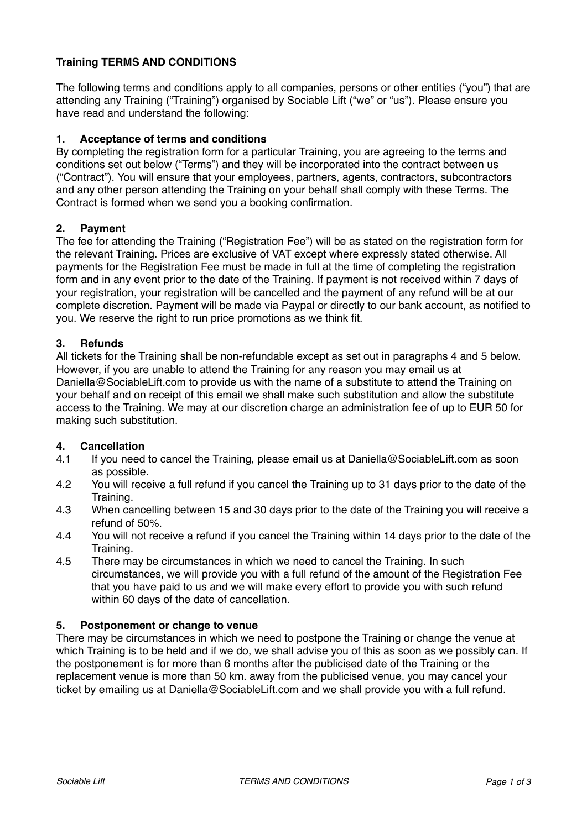# **Training TERMS AND CONDITIONS**

The following terms and conditions apply to all companies, persons or other entities ("you") that are attending any Training ("Training") organised by Sociable Lift ("we" or "us"). Please ensure you have read and understand the following:

# **1. Acceptance of terms and conditions**

By completing the registration form for a particular Training, you are agreeing to the terms and conditions set out below ("Terms") and they will be incorporated into the contract between us ("Contract"). You will ensure that your employees, partners, agents, contractors, subcontractors and any other person attending the Training on your behalf shall comply with these Terms. The Contract is formed when we send you a booking confirmation.

## **2. Payment**

The fee for attending the Training ("Registration Fee") will be as stated on the registration form for the relevant Training. Prices are exclusive of VAT except where expressly stated otherwise. All payments for the Registration Fee must be made in full at the time of completing the registration form and in any event prior to the date of the Training. If payment is not received within 7 days of your registration, your registration will be cancelled and the payment of any refund will be at our complete discretion. Payment will be made via Paypal or directly to our bank account, as notified to you. We reserve the right to run price promotions as we think fit.

## **3. Refunds**

All tickets for the Training shall be non-refundable except as set out in paragraphs 4 and 5 below. However, if you are unable to attend the Training for any reason you may email us at Daniella@SociableLift.com to provide us with the name of a substitute to attend the Training on your behalf and on receipt of this email we shall make such substitution and allow the substitute access to the Training. We may at our discretion charge an administration fee of up to EUR 50 for making such substitution.

## **4. Cancellation**

- 4.1 If you need to cancel the Training, please email us at Daniella@SociableLift.com as soon as possible.
- 4.2 You will receive a full refund if you cancel the Training up to 31 days prior to the date of the Training.
- 4.3 When cancelling between 15 and 30 days prior to the date of the Training you will receive a refund of 50%.
- 4.4 You will not receive a refund if you cancel the Training within 14 days prior to the date of the Training.
- 4.5 There may be circumstances in which we need to cancel the Training. In such circumstances, we will provide you with a full refund of the amount of the Registration Fee that you have paid to us and we will make every effort to provide you with such refund within 60 days of the date of cancellation.

## **5. Postponement or change to venue**

There may be circumstances in which we need to postpone the Training or change the venue at which Training is to be held and if we do, we shall advise you of this as soon as we possibly can. If the postponement is for more than 6 months after the publicised date of the Training or the replacement venue is more than 50 km. away from the publicised venue, you may cancel your ticket by emailing us at Daniella@SociableLift.com and we shall provide you with a full refund.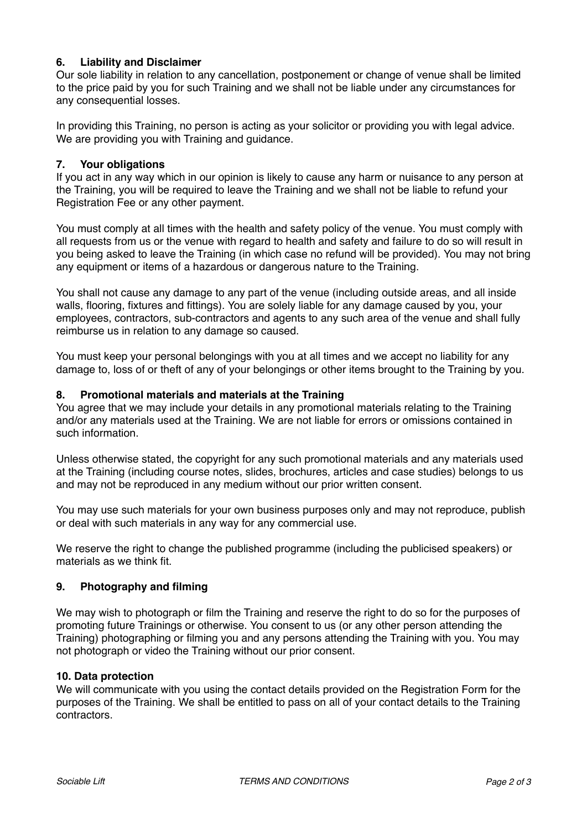# **6. Liability and Disclaimer**

Our sole liability in relation to any cancellation, postponement or change of venue shall be limited to the price paid by you for such Training and we shall not be liable under any circumstances for any consequential losses.

In providing this Training, no person is acting as your solicitor or providing you with legal advice. We are providing you with Training and guidance.

## **7. Your obligations**

If you act in any way which in our opinion is likely to cause any harm or nuisance to any person at the Training, you will be required to leave the Training and we shall not be liable to refund your Registration Fee or any other payment.

You must comply at all times with the health and safety policy of the venue. You must comply with all requests from us or the venue with regard to health and safety and failure to do so will result in you being asked to leave the Training (in which case no refund will be provided). You may not bring any equipment or items of a hazardous or dangerous nature to the Training.

You shall not cause any damage to any part of the venue (including outside areas, and all inside walls, flooring, fixtures and fittings). You are solely liable for any damage caused by you, your employees, contractors, sub-contractors and agents to any such area of the venue and shall fully reimburse us in relation to any damage so caused.

You must keep your personal belongings with you at all times and we accept no liability for any damage to, loss of or theft of any of your belongings or other items brought to the Training by you.

## **8. Promotional materials and materials at the Training**

You agree that we may include your details in any promotional materials relating to the Training and/or any materials used at the Training. We are not liable for errors or omissions contained in such information.

Unless otherwise stated, the copyright for any such promotional materials and any materials used at the Training (including course notes, slides, brochures, articles and case studies) belongs to us and may not be reproduced in any medium without our prior written consent.

You may use such materials for your own business purposes only and may not reproduce, publish or deal with such materials in any way for any commercial use.

We reserve the right to change the published programme (including the publicised speakers) or materials as we think fit.

## **9. Photography and filming**

We may wish to photograph or film the Training and reserve the right to do so for the purposes of promoting future Trainings or otherwise. You consent to us (or any other person attending the Training) photographing or filming you and any persons attending the Training with you. You may not photograph or video the Training without our prior consent.

## **10. Data protection**

We will communicate with you using the contact details provided on the Registration Form for the purposes of the Training. We shall be entitled to pass on all of your contact details to the Training contractors.